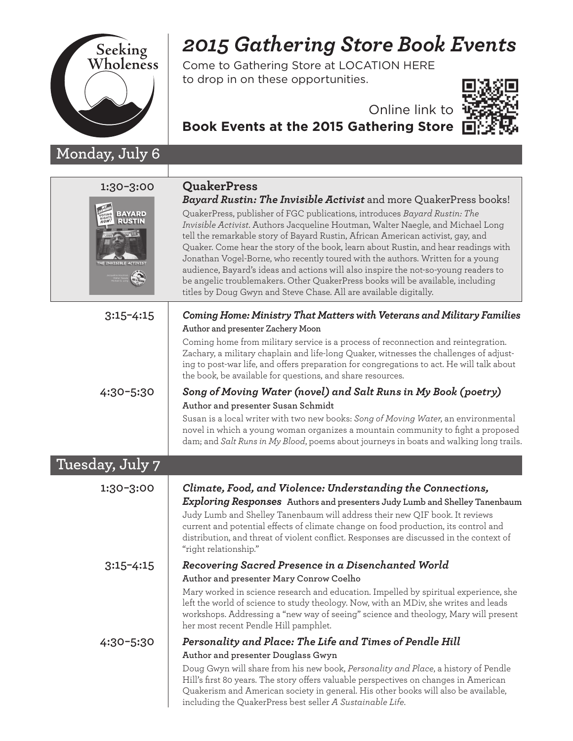

## **Monday, July 6**

## *2015 Gathering Store Book Events*

Come to Gathering Store at LOCATION HERE to drop in on these opportunities.



## Online link to

**Book Events at the 2015 Gathering Store**

| 1:30-3:00<br><b>BAYARD</b> | <b>QuakerPress</b><br><b>Bayard Rustin: The Invisible Activist</b> and more QuakerPress books!<br>QuakerPress, publisher of FGC publications, introduces Bayard Rustin: The<br>Invisible Activist. Authors Jacqueline Houtman, Walter Naegle, and Michael Long<br>tell the remarkable story of Bayard Rustin, African American activist, gay, and<br>Quaker. Come hear the story of the book, learn about Rustin, and hear readings with<br>Jonathan Vogel-Borne, who recently toured with the authors. Written for a young<br>audience, Bayard's ideas and actions will also inspire the not-so-young readers to<br>be angelic troublemakers. Other QuakerPress books will be available, including<br>titles by Doug Gwyn and Steve Chase. All are available digitally. |
|----------------------------|--------------------------------------------------------------------------------------------------------------------------------------------------------------------------------------------------------------------------------------------------------------------------------------------------------------------------------------------------------------------------------------------------------------------------------------------------------------------------------------------------------------------------------------------------------------------------------------------------------------------------------------------------------------------------------------------------------------------------------------------------------------------------|
| $3:15 - 4:15$              | Coming Home: Ministry That Matters with Veterans and Military Families<br>Author and presenter Zachery Moon<br>Coming home from military service is a process of reconnection and reintegration.<br>Zachary, a military chaplain and life-long Quaker, witnesses the challenges of adjust-<br>ing to post-war life, and offers preparation for congregations to act. He will talk about<br>the book, be available for questions, and share resources.                                                                                                                                                                                                                                                                                                                    |
| 4:30-5:30                  | Song of Moving Water (novel) and Salt Runs in My Book (poetry)<br>Author and presenter Susan Schmidt<br>Susan is a local writer with two new books: Song of Moving Water, an environmental<br>novel in which a young woman organizes a mountain community to fight a proposed<br>dam; and Salt Runs in My Blood, poems about journeys in boats and walking long trails.                                                                                                                                                                                                                                                                                                                                                                                                  |
| Tuesday, July 7            |                                                                                                                                                                                                                                                                                                                                                                                                                                                                                                                                                                                                                                                                                                                                                                          |
| 1:30-3:00                  | Climate, Food, and Violence: Understanding the Connections,<br><b>Exploring Responses</b> Authors and presenters Judy Lumb and Shelley Tanenbaum<br>Judy Lumb and Shelley Tanenbaum will address their new QIF book. It reviews<br>current and potential effects of climate change on food production, its control and<br>distribution, and threat of violent conflict. Responses are discussed in the context of<br>"right relationship."                                                                                                                                                                                                                                                                                                                               |
| $3:15 - 4:15$              | Recovering Sacred Presence in a Disenchanted World<br>Author and presenter Mary Conrow Coelho<br>Mary worked in science research and education. Impelled by spiritual experience, she<br>left the world of science to study theology. Now, with an MDiv, she writes and leads<br>workshops. Addressing a "new way of seeing" science and theology, Mary will present<br>her most recent Pendle Hill pamphlet.                                                                                                                                                                                                                                                                                                                                                            |
| 4:30-5:30                  | Personality and Place: The Life and Times of Pendle Hill<br>Author and presenter Douglass Gwyn<br>Doug Gwyn will share from his new book, Personality and Place, a history of Pendle<br>Hill's first 80 years. The story offers valuable perspectives on changes in American<br>Quakerism and American society in general. His other books will also be available,<br>including the QuakerPress best seller A Sustainable Life.                                                                                                                                                                                                                                                                                                                                          |